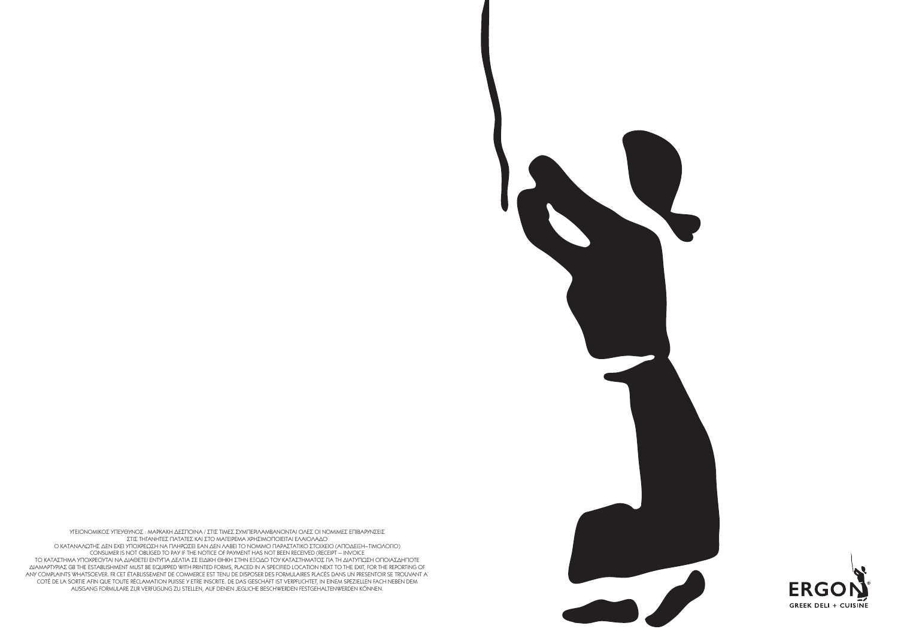ΥΓΕΙΟΝΟΜΙΚΟΣ ΥΠΕΥΘΥΝΟΣ : ΜΑΡΚΑΚΗ ∆ΕΣΠΟΙΝΑ / ΣΤΙΣ ΤΙΜΕΣ ΣΥΜΠΕΡΙΛΑΜΒΑΝΟΝΤΑΙ ΟΛΕΣ ΟΙ ΝΟΜΙΜΕΣ ΕΠΙΒΑΡΥΝΣΕΙΣ ΣΤΙΣ ΤΗΓΑΝΗΤΕΣ ΠΑΤΑΤΕΣ ΚΑΙ ΣΤΟ ΜΑΓΕΙΡΕΜΑ ΧΡΗΣΙΜΟΠΟΙΕΙΤΑΙ ΕΛΑΙΟΛΑ∆Ο Ο ΚΑΤΑΝΑΛΩΤΗΣ ∆ΕΝ ΕΧΕΙ ΥΠΟΧΡΕΩΣΗ ΝΑ ΠΛΗΡΩΣΕΙ ΕΑΝ ∆ΕΝ ΛΑΒΕΙ ΤΟ ΝΟΜΙΜΟ ΠΑΡΑΣΤΑΤΙΚΟ ΣΤΟΙΧΕΙΟ (ΑΠΟ∆ΕΙΞΗ−ΤΙΜΟΛΟΓΙΟ) CONSUMER IS ΝΟΤ OBLIGED TO PAY IF THE NOTICE OF PAYMENT HAS ΝΟΤ BEEN RECEIVED (RECEIPT − INVOICE ΤΟ ΚΑΤΑΣΤΗΜΑ ΥΠΟΧΡΕΟΥΤΑΙ ΝΑ ∆ΙΑΘΕΤΕΙ ΕΝΤΥΠΑ ∆ΕΛΤΙΑ ΣΕ ΕΙ∆ΙΚΗ ΘΗΚΗ ΣΤΗΝ ΕΞΟ∆Ο ΤΟΥ ΚΑΤΑΣΤΗΜΑΤΟΣ ΓΙΑ ΤΗ ∆ΙΑΤΥΠΩΣΗ ΟΠΟΙΑΣ∆ΗΠΟΤΕ ∆ΙΑΜΑΡΤΥΡΙΑΣ GB THE ESTABLISHMENT MUST BE EQUIPPED WITH PRINTED FORMS, PLACED IN A SPECIFIED LOCATION NEXT TO THE EXIT, FOR THE REPORTING OF ANY COMPLAINTS WHATSOEVER. FR CET ÉTABLISSEMENT DE COMMERCE EST TENU DE DISPOSER DES FORMULAIRES PLACÉS DANS UN PRESENTOIR SE TROUVANT A` COTÉ DE LA SORTIE AFIN QUE TOUTE RÉCLAMATION PUISSE Y ETRE INSCRITE. DE DAS GESCHÄFT IST VERPFLICHTET, IN EINEM SPEZIELLEN FACH NEBEN DEM AUSGANG FORMULARE ZUR VERFÜGUNG ZU STELLEN, AUF DENEN JEGLICHE BESCHWERDEN FESTGEHALTENWERDEN KÖNNEN.